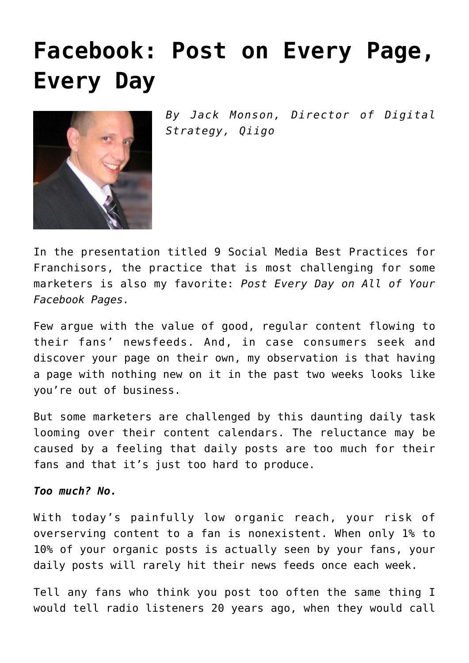## **[Facebook: Post on Every Page,](https://www.commpro.biz/facebook-post-on-every-page-every-day/) [Every Day](https://www.commpro.biz/facebook-post-on-every-page-every-day/)**



*By Jack Monson, Director of Digital Strategy, [Qiigo](https://qiigo.com/)*

In the [presentation](https://www.slideshare.net/JackMonson/9-best-practices-in-social-for-franchises/1) titled 9 Social Media Best Practices for Franchisors, the practice that is most challenging for some marketers is also my favorite: *Post Every Day on All of Your Facebook Pages.*

Few argue with the value of good, regular content flowing to their fans' newsfeeds. And, in case consumers seek and discover your page on their own, my observation is that having a page with nothing new on it in the past two weeks looks like you're out of business.

But some [marketers](https://www.commpro.biz/marketing-section) are challenged by this daunting daily task looming over their content calendars. The reluctance may be caused by a feeling that daily posts are too much for their fans and that it's just too hard to produce.

## *Too much? No.*

With today's painfully low organic reach, your risk of overserving content to a fan is nonexistent. When only 1% to 10% of your organic posts is actually seen by your fans, your daily posts will rarely hit their news feeds once each week.

Tell any fans who think you post too often the same thing I would tell radio listeners 20 years ago, when they would call